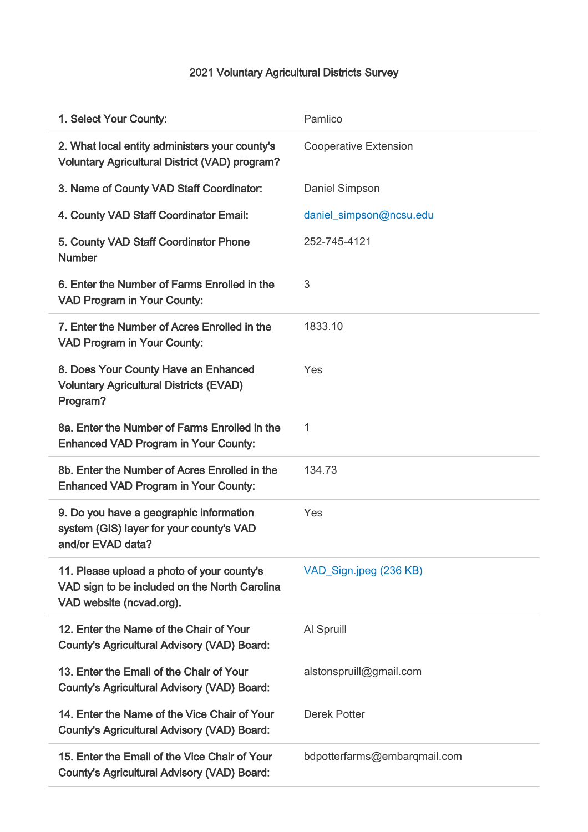## 2021 Voluntary Agricultural Districts Survey

| 1. Select Your County:                                                                                                  | Pamlico                      |
|-------------------------------------------------------------------------------------------------------------------------|------------------------------|
| 2. What local entity administers your county's<br><b>Voluntary Agricultural District (VAD) program?</b>                 | <b>Cooperative Extension</b> |
| 3. Name of County VAD Staff Coordinator:                                                                                | Daniel Simpson               |
| 4. County VAD Staff Coordinator Email:                                                                                  | daniel_simpson@ncsu.edu      |
| 5. County VAD Staff Coordinator Phone<br><b>Number</b>                                                                  | 252-745-4121                 |
| 6. Enter the Number of Farms Enrolled in the<br><b>VAD Program in Your County:</b>                                      | 3                            |
| 7. Enter the Number of Acres Enrolled in the<br><b>VAD Program in Your County:</b>                                      | 1833.10                      |
| 8. Does Your County Have an Enhanced<br><b>Voluntary Agricultural Districts (EVAD)</b><br>Program?                      | Yes                          |
| 8a. Enter the Number of Farms Enrolled in the<br><b>Enhanced VAD Program in Your County:</b>                            | 1                            |
| 8b. Enter the Number of Acres Enrolled in the<br><b>Enhanced VAD Program in Your County:</b>                            | 134.73                       |
| 9. Do you have a geographic information<br>system (GIS) layer for your county's VAD<br>and/or EVAD data?                | Yes                          |
| 11. Please upload a photo of your county's<br>VAD sign to be included on the North Carolina<br>VAD website (ncvad.org). | VAD_Sign.jpeg (236 KB)       |
| 12. Enter the Name of the Chair of Your<br><b>County's Agricultural Advisory (VAD) Board:</b>                           | Al Spruill                   |
| 13. Enter the Email of the Chair of Your<br><b>County's Agricultural Advisory (VAD) Board:</b>                          | alstonspruill@gmail.com      |
| 14. Enter the Name of the Vice Chair of Your<br><b>County's Agricultural Advisory (VAD) Board:</b>                      | <b>Derek Potter</b>          |
| 15. Enter the Email of the Vice Chair of Your<br><b>County's Agricultural Advisory (VAD) Board:</b>                     | bdpotterfarms@embarqmail.com |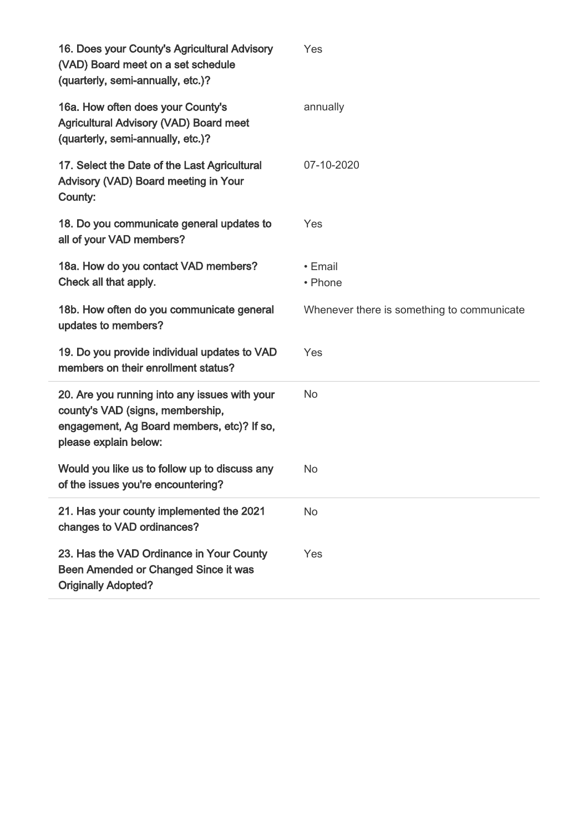| 16. Does your County's Agricultural Advisory<br>(VAD) Board meet on a set schedule<br>(quarterly, semi-annually, etc.)?                                  | Yes                                        |
|----------------------------------------------------------------------------------------------------------------------------------------------------------|--------------------------------------------|
| 16a. How often does your County's<br><b>Agricultural Advisory (VAD) Board meet</b><br>(quarterly, semi-annually, etc.)?                                  | annually                                   |
| 17. Select the Date of the Last Agricultural<br>Advisory (VAD) Board meeting in Your<br>County:                                                          | 07-10-2020                                 |
| 18. Do you communicate general updates to<br>all of your VAD members?                                                                                    | Yes                                        |
| 18a. How do you contact VAD members?<br>Check all that apply.                                                                                            | • Email<br>• Phone                         |
| 18b. How often do you communicate general<br>updates to members?                                                                                         | Whenever there is something to communicate |
| 19. Do you provide individual updates to VAD<br>members on their enrollment status?                                                                      | Yes                                        |
| 20. Are you running into any issues with your<br>county's VAD (signs, membership,<br>engagement, Ag Board members, etc)? If so,<br>please explain below: | <b>No</b>                                  |
| Would you like us to follow up to discuss any<br>of the issues you're encountering?                                                                      | No                                         |
| 21. Has your county implemented the 2021<br>changes to VAD ordinances?                                                                                   | <b>No</b>                                  |
| 23. Has the VAD Ordinance in Your County<br>Been Amended or Changed Since it was<br><b>Originally Adopted?</b>                                           | Yes                                        |
|                                                                                                                                                          |                                            |